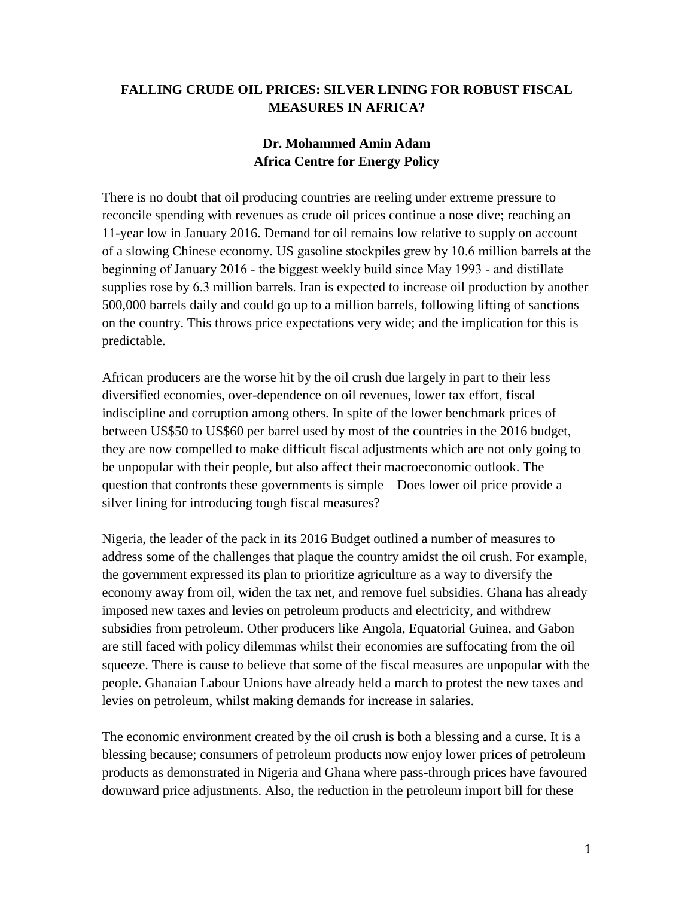## **FALLING CRUDE OIL PRICES: SILVER LINING FOR ROBUST FISCAL MEASURES IN AFRICA?**

## **Dr. Mohammed Amin Adam Africa Centre for Energy Policy**

There is no doubt that oil producing countries are reeling under extreme pressure to reconcile spending with revenues as crude oil prices continue a nose dive; reaching an 11-year low in January 2016. Demand for oil remains low relative to supply on account of a slowing Chinese economy. US gasoline stockpiles grew by 10.6 million barrels at the beginning of January 2016 - the biggest weekly build since May 1993 - and distillate supplies rose by 6.3 million barrels. Iran is expected to increase oil production by another 500,000 barrels daily and could go up to a million barrels, following lifting of sanctions on the country. This throws price expectations very wide; and the implication for this is predictable.

African producers are the worse hit by the oil crush due largely in part to their less diversified economies, over-dependence on oil revenues, lower tax effort, fiscal indiscipline and corruption among others. In spite of the lower benchmark prices of between US\$50 to US\$60 per barrel used by most of the countries in the 2016 budget, they are now compelled to make difficult fiscal adjustments which are not only going to be unpopular with their people, but also affect their macroeconomic outlook. The question that confronts these governments is simple – Does lower oil price provide a silver lining for introducing tough fiscal measures?

Nigeria, the leader of the pack in its 2016 Budget outlined a number of measures to address some of the challenges that plaque the country amidst the oil crush. For example, the government expressed its plan to prioritize agriculture as a way to diversify the economy away from oil, widen the tax net, and remove fuel subsidies. Ghana has already imposed new taxes and levies on petroleum products and electricity, and withdrew subsidies from petroleum. Other producers like Angola, Equatorial Guinea, and Gabon are still faced with policy dilemmas whilst their economies are suffocating from the oil squeeze. There is cause to believe that some of the fiscal measures are unpopular with the people. Ghanaian Labour Unions have already held a march to protest the new taxes and levies on petroleum, whilst making demands for increase in salaries.

The economic environment created by the oil crush is both a blessing and a curse. It is a blessing because; consumers of petroleum products now enjoy lower prices of petroleum products as demonstrated in Nigeria and Ghana where pass-through prices have favoured downward price adjustments. Also, the reduction in the petroleum import bill for these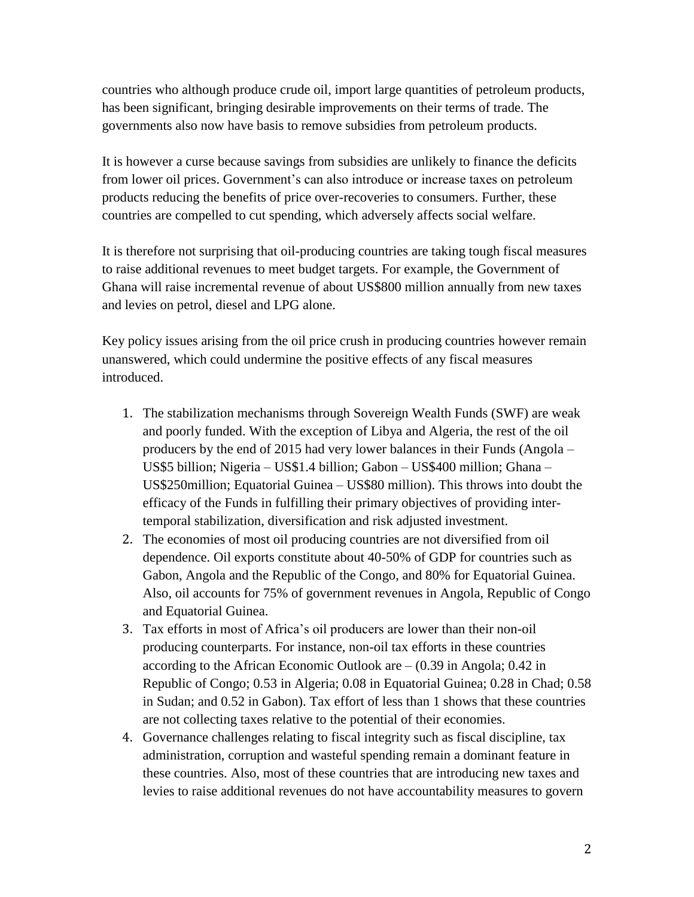countries who although produce crude oil, import large quantities of petroleum products, has been significant, bringing desirable improvements on their terms of trade. The governments also now have basis to remove subsidies from petroleum products.

It is however a curse because savings from subsidies are unlikely to finance the deficits from lower oil prices. Government's can also introduce or increase taxes on petroleum products reducing the benefits of price over-recoveries to consumers. Further, these countries are compelled to cut spending, which adversely affects social welfare.

It is therefore not surprising that oil-producing countries are taking tough fiscal measures to raise additional revenues to meet budget targets. For example, the Government of Ghana will raise incremental revenue of about US\$800 million annually from new taxes and levies on petrol, diesel and LPG alone.

Key policy issues arising from the oil price crush in producing countries however remain unanswered, which could undermine the positive effects of any fiscal measures introduced.

- 1. The stabilization mechanisms through Sovereign Wealth Funds (SWF) are weak and poorly funded. With the exception of Libya and Algeria, the rest of the oil producers by the end of 2015 had very lower balances in their Funds (Angola – US\$5 billion; Nigeria – US\$1.4 billion; Gabon – US\$400 million; Ghana – US\$250million; Equatorial Guinea – US\$80 million). This throws into doubt the efficacy of the Funds in fulfilling their primary objectives of providing intertemporal stabilization, diversification and risk adjusted investment.
- 2. The economies of most oil producing countries are not diversified from oil dependence. Oil exports constitute about 40-50% of GDP for countries such as Gabon, Angola and the Republic of the Congo, and 80% for Equatorial Guinea. Also, oil accounts for 75% of government revenues in Angola, Republic of Congo and Equatorial Guinea.
- 3. Tax efforts in most of Africa's oil producers are lower than their non-oil producing counterparts. For instance, non-oil tax efforts in these countries according to the African Economic Outlook are  $-$  (0.39 in Angola; 0.42 in Republic of Congo; 0.53 in Algeria; 0.08 in Equatorial Guinea; 0.28 in Chad; 0.58 in Sudan; and 0.52 in Gabon). Tax effort of less than 1 shows that these countries are not collecting taxes relative to the potential of their economies.
- 4. Governance challenges relating to fiscal integrity such as fiscal discipline, tax administration, corruption and wasteful spending remain a dominant feature in these countries. Also, most of these countries that are introducing new taxes and levies to raise additional revenues do not have accountability measures to govern